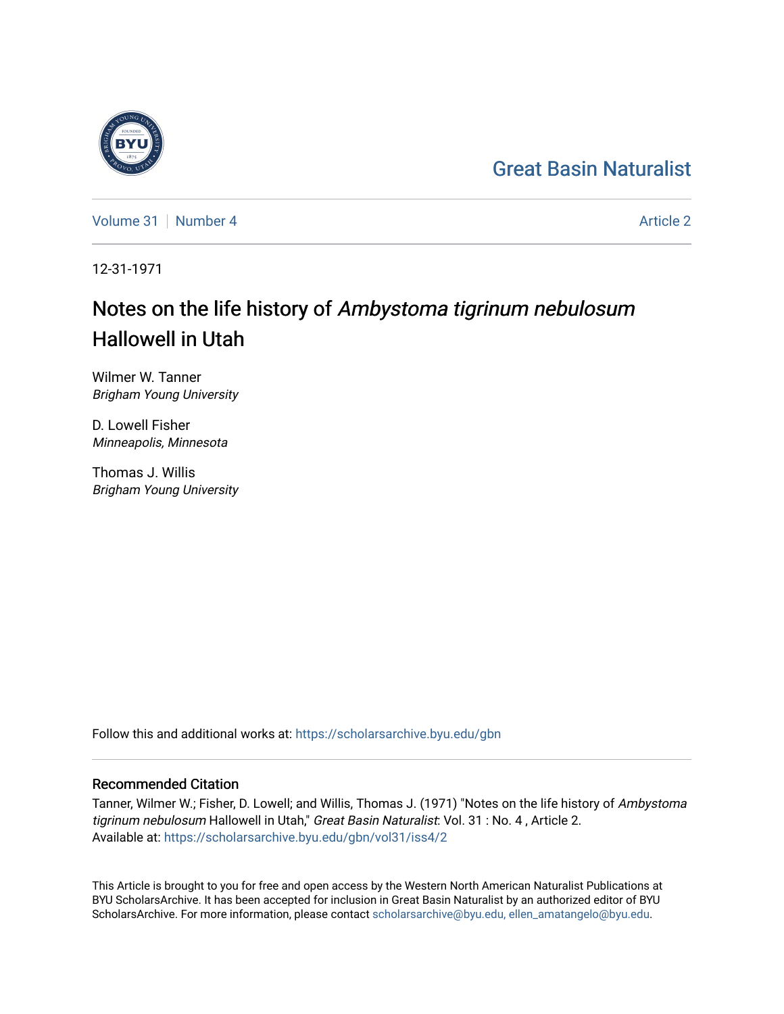## [Great Basin Naturalist](https://scholarsarchive.byu.edu/gbn)

[Volume 31](https://scholarsarchive.byu.edu/gbn/vol31) | [Number 4](https://scholarsarchive.byu.edu/gbn/vol31/iss4) [Article 2](https://scholarsarchive.byu.edu/gbn/vol31/iss4/2) Article 2

12-31-1971

# Notes on the life history of Ambystoma tigrinum nebulosum Hallowell in Utah

Wilmer W. Tanner Brigham Young University

D. Lowell Fisher Minneapolis, Minnesota

Thomas J. Willis Brigham Young University

Follow this and additional works at: [https://scholarsarchive.byu.edu/gbn](https://scholarsarchive.byu.edu/gbn?utm_source=scholarsarchive.byu.edu%2Fgbn%2Fvol31%2Fiss4%2F2&utm_medium=PDF&utm_campaign=PDFCoverPages) 

### Recommended Citation

Tanner, Wilmer W.; Fisher, D. Lowell; and Willis, Thomas J. (1971) "Notes on the life history of Ambystoma tigrinum nebulosum Hallowell in Utah," Great Basin Naturalist: Vol. 31 : No. 4, Article 2. Available at: [https://scholarsarchive.byu.edu/gbn/vol31/iss4/2](https://scholarsarchive.byu.edu/gbn/vol31/iss4/2?utm_source=scholarsarchive.byu.edu%2Fgbn%2Fvol31%2Fiss4%2F2&utm_medium=PDF&utm_campaign=PDFCoverPages)

This Article is brought to you for free and open access by the Western North American Naturalist Publications at BYU ScholarsArchive. It has been accepted for inclusion in Great Basin Naturalist by an authorized editor of BYU ScholarsArchive. For more information, please contact [scholarsarchive@byu.edu, ellen\\_amatangelo@byu.edu.](mailto:scholarsarchive@byu.edu,%20ellen_amatangelo@byu.edu)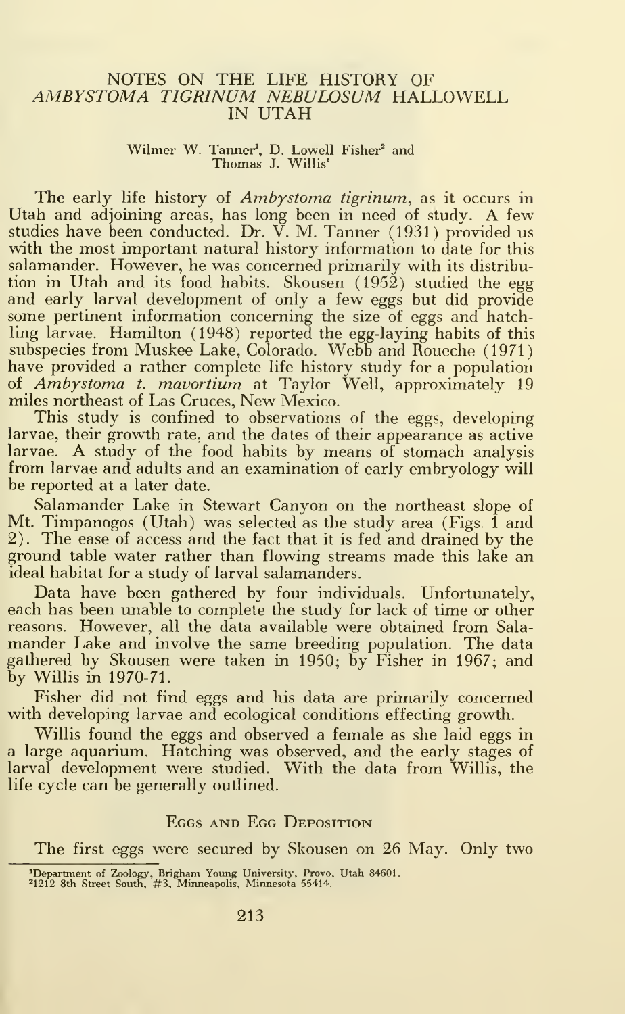### NOTES ON THE LIFE HISTORY OF AMBYSTOMA TIGRINUM NEBULOSUM HALLOWELL IN UTAH

### Wilmer W. Tanner<sup>1</sup>, D. Lowell Fisher<sup>2</sup> and Thomas J. Willis<sup>1</sup>

The early life history of *Ambystoma tigrinum*, as it occurs in Utah and adjoining areas, has long been in need of study. A few studies have been conducted. Dr. V. M. Tanner (1931) provided us with the most important natural history information to date for this salamander. However, he was concerned primarily with its distribution in Utah and its food habits. Skousen (1952) studied the egg and early larval development of only a few eggs but did provide some pertinent information concerning the size of eggs and hatchling larvae. Hamilton (1948) reported the egg-laying habits of this subspecies from Muskee Lake, Colorado. Webb and Roueche (1971) have provided a rather complete life history study for a population of Ambystoma t. mavortium at Taylor Well, approximately 19 miles northeast of Las Cruces, New Mexico.

This study is confined to observations of the eggs, developing larvae, their growth rate, and the dates of their appearance as active larvae. A study of the food habits by means of stomach analysis from larvae and adults and an examination of early embryology will be reported at a later date.

Salamander Lake in Stewart Canyon on the northeast slope of Mt. Timpanogos (Utah) was selected as the study area (Figs. 1 and 2). The ease of access and the fact that it is fed and drained by the ground table water rather than flowing streams made this lake an ideal habitat for a study of larval salamanders.

Data have been gathered by four individuals. Unfortunately, each has been unable to complete the study for lack of time or other reasons. However, all the data available were obtained from Salamander Lake and involve the same breeding population. The data gathered by Skousen were taken in 1950; by Fisher in 1967; and by Willis in 1970-71.

Fisher did not find eggs and his data are primarily concerned with developing larvae and ecological conditions effecting growth.

Willis found the eggs and observed a female as she laid eggs in a large aquarium. Hatching was observed, and the early stages of larval development were studied. With the data from Willis, the life cycle can be generally outlined.

### Eggs and Egg Deposition

The first eggs were secured by Skousen on 26 May. Only two

<sup>&#</sup>x27;Department of Zoology, Brigham Young University, Provo, Utah 84601. <sup>2</sup> 1212 8th Street South, #3, Minneapolis, Minnesota 55414.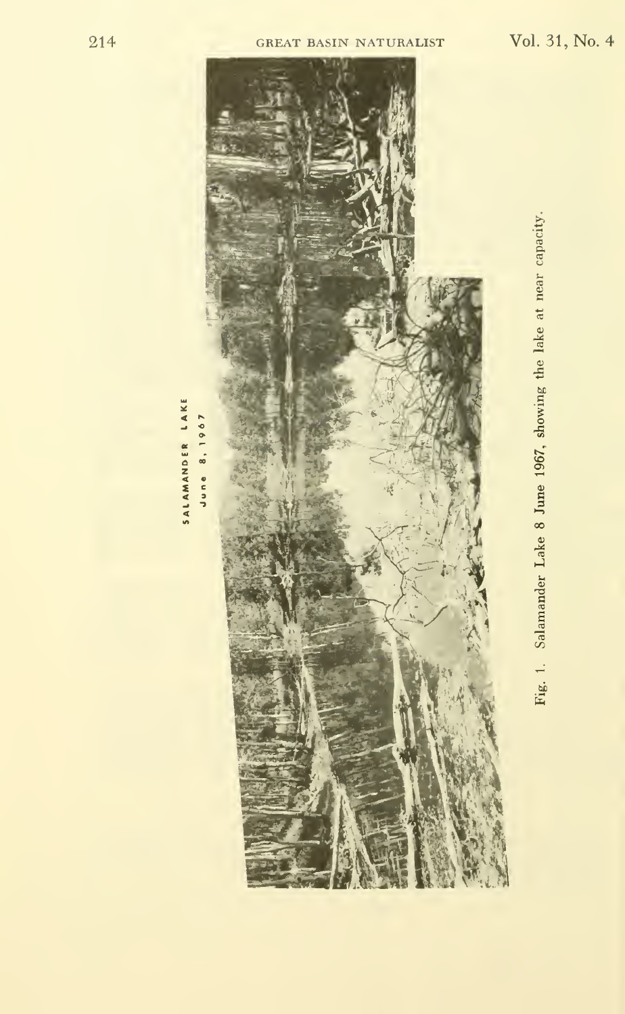



Salamander Lake 8 June 1967, showing the lake at near capacity. Fig. 1.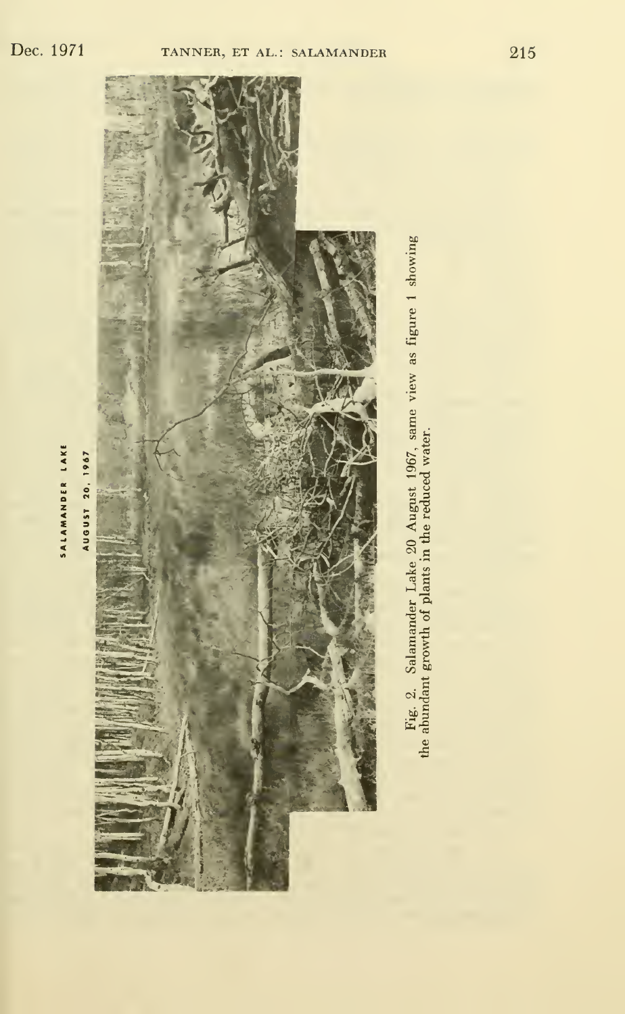SALAMANDER LAKE

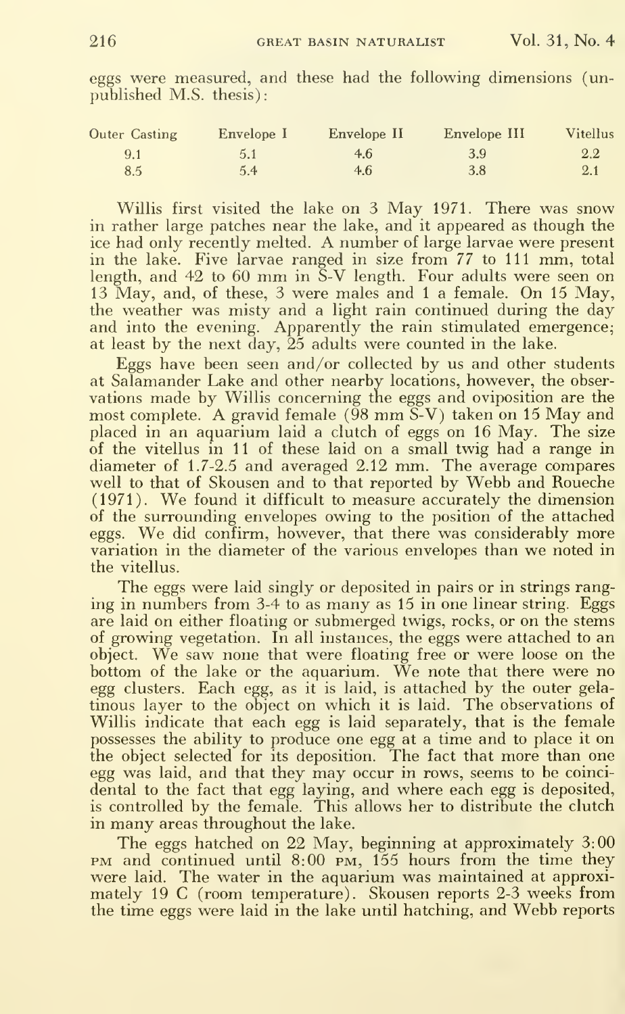| <b>Outer Casting</b> | Envelope I    | Envelope II | Envelope III | <b>Vitellus</b> |
|----------------------|---------------|-------------|--------------|-----------------|
| 9.1                  | 5.1           | 4.6         | 3.9          | $2.2\,$         |
| 8.5                  | $5.4^{\circ}$ | 4.6         | 3.8          | $2.1\,$         |

eggs were measured, and these had the following dimensions (unpublished M.S. thesis):

Willis first visited the lake on 3 May 1971. There was snow in rather large patches near the lake, and it appeared as though the ice had only recently melted. A number of large larvae were present in the lake. Five larvae ranged in size from 77 to 111 mm, total length, and 42 to 60 mm in S-V length. Four adults were seen on 13 May, and, of these, 3 were males and 1 a female. On 15 May, the weather was misty and a light rain continued during the day<br>and into the evening. Apparently the rain stimulated emergence; at least by the next day, 25 adults were counted in the lake.

Eggs have been seen and/or collected by us and other students at Salamander Lake and other nearby locations, however, the observations made by Willis concerning the eggs and oviposition are the most complete. A gravid female  $(98 \text{ mm} \tilde{\text{S}}\text{-V})$  taken on 15 May and placed in an aquarium laid a clutch of eggs on 16 May. The size of the vitellus in 11 of these laid on a small twig had a range in diameter of 1.7-2.5 and averaged 2.12 mm. The average compares well to that of Skousen and to that reported by Webb and Roueche (1971). We found it difficult to measure accurately the dimension of the surrounding envelopes owing to the position of the attached eggs. We did confirm, however, that there was considerably more variation in the diameter of the various envelopes than we noted in the vitellus.

The eggs were laid singly or deposited in pairs or in strings ranging in numbers from 3-4 to as many as 15 in one linear string. Eggs are laid on either floating or submerged twigs, rocks, or on the stems of growing vegetation. In all instances, the eggs were attached to an object. We saw none that were floating free or were loose on the bottom of the lake or the aquarium. We note that there were no egg clusters. Each egg, as it is laid, is attached by the outer gelatinous layer to the object on which it is laid. The observations of Willis indicate that each egg is laid separately, that is the female possesses the ability to produce one egg at a time and to place it on the object selected for its deposition. The fact that more than one egg was laid, and that they may occur in rows, seems to be coincidental to the fact that egg laying, and where each egg is deposited, is controlled by the female. This allows her to distribute the clutch in many areas throughout the lake.

The eggs hatched on 22 May, beginning at approximately 3:00 PM and continued until 8:00 PM, 155 hours from the time they were laid. The water in the aquarium was maintained at approximately 19 C (room temperature). Skousen reports 2-3 weeks from the time eggs were laid in the lake until hatching, and Webb reports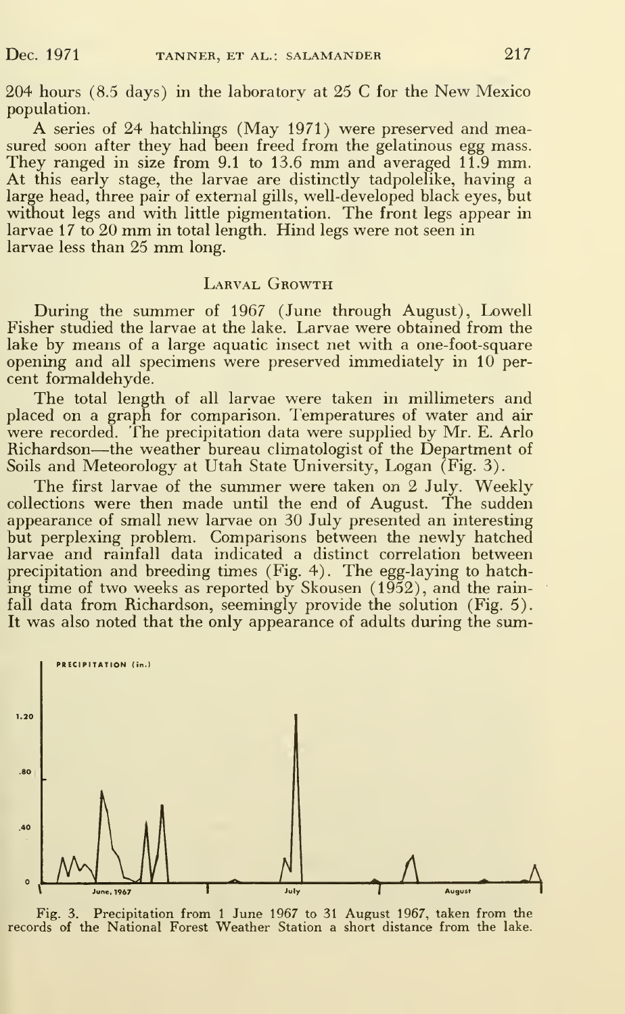204 hours (8.5 days) in the laboratory at 25 C for the New Mexico population.

A series of <sup>24</sup> hatchlings (May 1971) were preserved and measured soon after they had been freed from the gelatinous egg mass. They ranged in size from 9.1 to 13.6 mm and averaged 11.9 mm. At this early stage, the larvae are distinctly tadpolelike, having a large head, three pair of external gills, well-developed black eyes, but without legs and with little pigmentation. The front legs appear in larvae 17 to 20 mm in total length. Hind legs were not seen in larvae less than <sup>25</sup> mm long.

### LARVAL GROWTH

During the summer of 1967 (June through August), Lowell Fisher studied the larvae at the lake. Larvae were obtained from the lake by means of a large aquatic insect net with a one-foot-square opening and all specimens were preserved immediately in 10 per cent formaldehyde.

The total length of all larvae were taken in millimeters and placed on a graph for comparison. Temperatures of water and air were recorded. The precipitation data were supplied by Mr. E. Arlo Richardson—the weather bureau climatologist of the Department of Soils and Meteorology at Utah State University, Logan (Fig. 3).

The first larvae of the summer were taken on 2 July. Weekly collections were then made until the end of August. The sudden appearance of small new larvae on 30 July presented an interesting but perplexing problem. Comparisons between the newly hatched larvae and rainfall data indicated a distinct correlation between precipitation and breeding times (Fig. 4). The egg-laying to hatching time of two weeks as reported by Skousen (1952), and the rainfall data from Richardson, seemingly provide the solution (Fig. 5). It was also noted that the only appearance of adults during the sum-



Fig. 3. Precipitation from <sup>1</sup> June 1967 to 31 August 1967, taken from the records of the National Forest Weather Station a short distance from the lake.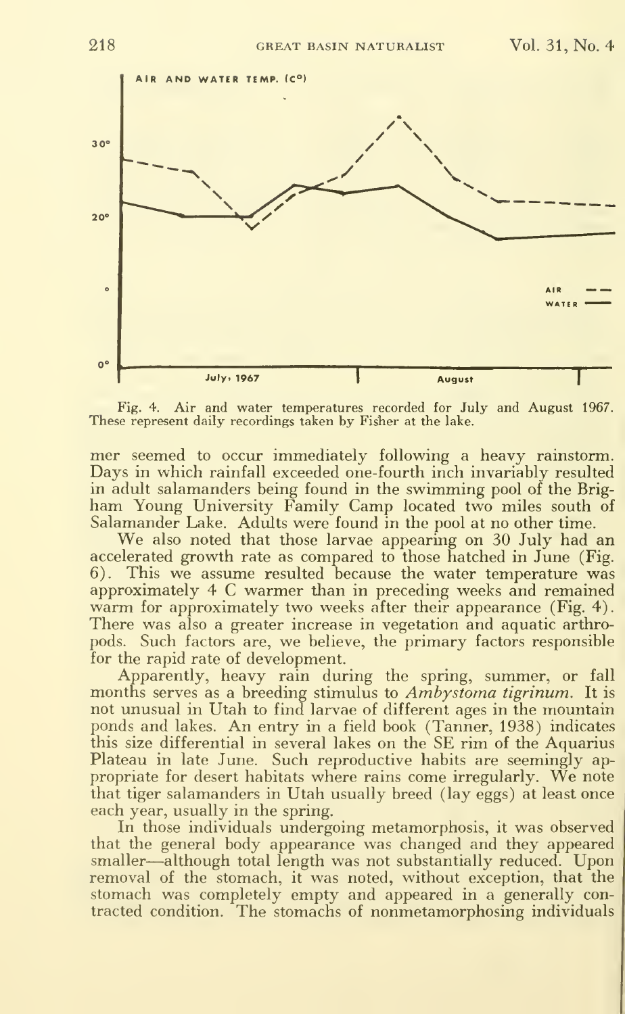

Fig. 4. Air and water temperatures recorded for July and August 1967. These represent daily recordings taken by Fisher at the lake.

mer seemed to occur immediately following a heavy rainstorm. Days in which rainfall exceeded one-fourth inch invariably resulted in adult salamanders being found in the swimming pool of the Brigham Young University Family Camp located two miles south of Salamander Lake. Adults were found in the pool at no other time.

We also noted that those larvae appearing on <sup>30</sup> July had an accelerated growth rate as compared to those hatched in June (Fig. 6). This we assume resulted because the water temperature was approximately 4 C warmer than in preceding weeks and remained warm for approximately two weeks after their appearance (Fig. 4). There was also a greater increase in vegetation and aquatic arthropods. Such factors are, we believe, the primary factors responsible for the rapid rate of development.

Apparently, heavy rain during the spring, summer, or fall months serves as a breeding stimulus to Ambystoma tigrinum. It is not unusual in Utah to find larvae of different ages in the mountain ponds and lakes. An entry in <sup>a</sup> field book (Tanner, 1938) indicates this size differential in several lakes on the SE rim of the Aquarius Plateau in late June. Such reproductive habits are seemingly ap propriate for desert habitats where rains come irregularly. We note that tiger salamanders in Utah usually breed (lay eggs) at least once each year, usually in the spring.

In those individuals undergoing metamorphosis, it was observed that the general body appearance was changed and they appeared smaller—although total length was not substantially reduced. Upon removal of the stomach, it was noted, without exception, that the stomach was completely empty and appeared in a generally contracted condition. The stomachs of nonmetamorphosing individuals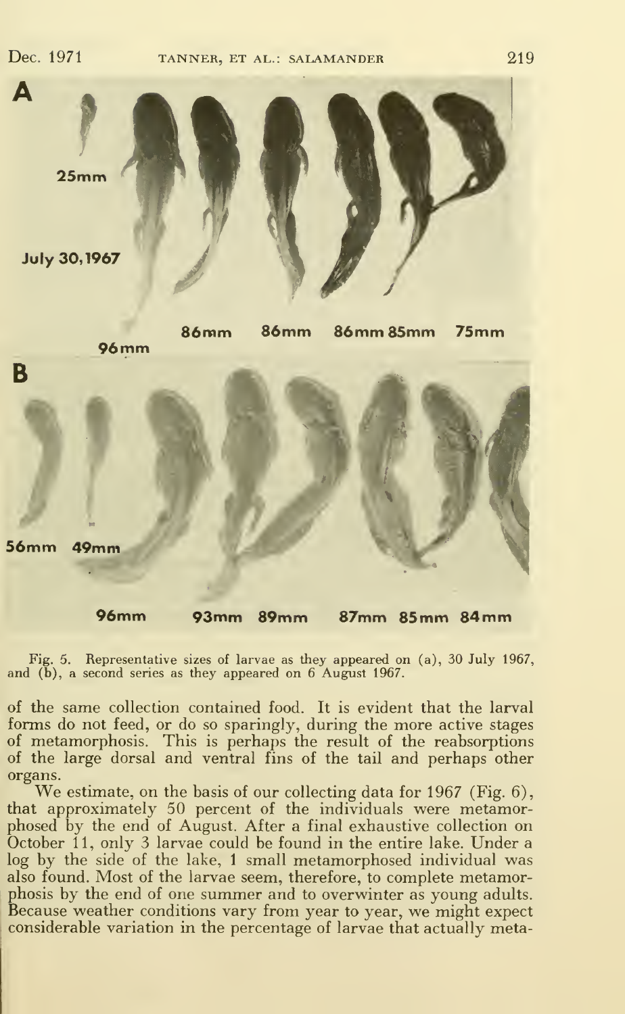Dec. 1971



Fig. 5. Representative sizes of larvae as they appeared on (a), 30 July 1967, and (b), a second series as they appeared on 6 August 1967.

of the same collection contained food. It is evident that the larval forms do not feed, or do so sparingly, during the more active stages of metamorphosis. This is perhaps the result of the reabsorptions of the large dorsal and ventral fins of the tail and perhaps other organs. We estimate, on the basis of our collecting data for <sup>1967</sup> (Fig. 6),

that approximately 50 percent of the individuals were metamorphosed by the end of August. After a final exhaustive collection on October 11, only 3 larvae could be found in the entire lake. Under a log by the side of the lake, <sup>1</sup> small metamorphosed individual was also found. Most of the larvae seem, therefore, to complete metamorphosis by the end of one summer and to overwinter as young adults. Because weather conditions vary from year to year, we might expect considerable variation in the percentage of larvae that actually meta-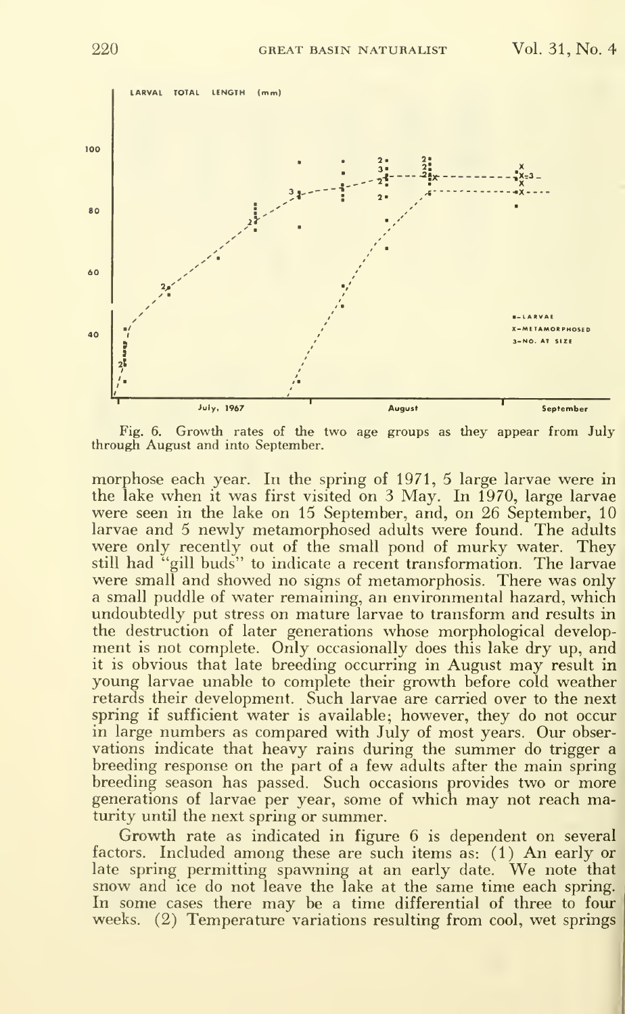

Fig. 6. Growth rates of the two age groups as they appear from July through August and into September.

morphose each year. In the spring of 1971, 5 large larvae were in the lake when it was first visited on 3 May. In 1970, large larvae were seen in the lake on 15 September, and, on 26 September, 10 larvae and 5 newly metamorphosed adults were found. The adults were only recently out of the small pond of murky water. They still had "gill buds" to indicate a recent transformation. The larvae were small and showed no signs of metamorphosis. There was only a small puddle of water remaining, an environmental hazard, which undoubtedly put stress on mature larvae to transform and results in the destruction of later generations whose morphological development is not complete. Only occasionally does this lake dry up, and it is obvious that late breeding occurring in August may result in young larvae unable to complete their growth before cold weather retards their development. Such larvae are carried over to the next spring if sufficient water is available; however, they do not occur in large numbers as compared with July of most years. Our observations indicate that heavy rains during the summer do trigger a breeding response on the part of a few adults after the main spring breeding season has passed. Such occasions provides two or more generations of larvae per year, some of which may not reach maturity until the next spring or summer.

Growth rate as indicated in figure 6 is dependent on several factors. Included among these are such items as: (1) An early or late spring permitting spawning at an early date. We note that snow and ice do not leave the lake at the same time each spring. In some cases there may be <sup>a</sup> time differential of three to four weeks. (2) Temperature variations resulting from cool, wet springs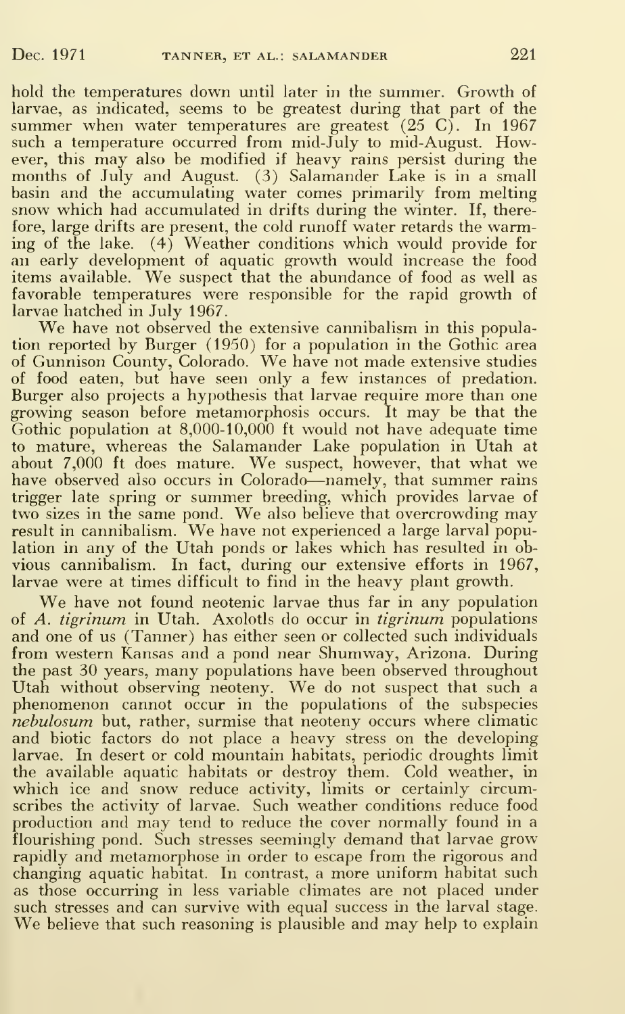hold the temperatures down until later in the summer. Growth of larvae, as indicated, seems to be greatest during that part of the summer when water temperatures are greatest  $(25 \text{ C})$ . In 1967 such a temperature occurred from mid-July to mid-August. However, this may also be modified if heavy rains persist during the months of July and August. (3) Salamander Lake is in a small basin and the accumulating water comes primarily from melting snow which had accumulated in drifts during the winter. If, therefore, large drifts are present, the cold runoff water retards the warming of the lake. (4) Weather conditions which would provide for an early development of aquatic growth would increase the food items available. We suspect that the abundance of food as well as favorable temperatures were responsible for the rapid growth of larvae hatched in July 1967.

We have not observed the extensive cannibalism in this population reported by Burger (1950) for a population in the Gothic area of Gunnison County, Colorado. We have not made extensive studies of food eaten, but have seen only a few instances of predation. Burger also projects a hypothesis that larvae require more than one growing season before metamorphosis occurs. It may be that the Gothic population at 8,000-10,000 ft would not have adequate time to mature, whereas the Salamander Lake population in Utah at about 7,000 ft does mature. We suspect, however, that what we have observed also occurs in Colorado—namely, that summer rains trigger late spring or summer breeding, which provides larvae of two sizes in the same pond. We also believe that overcrowding may result in cannibalism. We have not experienced <sup>a</sup> large larval population in any of the Utah ponds or lakes which has resulted in obvious cannibalism. In fact, during our extensive efforts in 1967, larvae were at times difficult to find in the heavy plant growth.

We have not found neotenic larvae thus far in any population of A. tigrinum in Utah. Axolotls do occur in tigrinum populations and one of us (Tanner) has either seen or collected such individuals from western Kansas and a pond near Shumway, Arizona. During the past 30 years, many populations have been observed throughout phenomenon cannot occur in the populations of the subspecies nebulosum but, rather, surmise that neoteny occurs where climatic and biotic factors do not place a heavy stress on the developing larvae. In desert or cold mountain habitats, periodic droughts limit the available aquatic habitats or destroy them. Cold weather, in which ice and snow reduce activity, limits or certainly circumscribes the activity of larvae. Such weather conditions reduce food production and may tend to reduce the cover normally found in <sup>a</sup> flourishing pond. Such stresses seemingly demand that larvae grow rapidly and metamorphose in order to escape from the rigorous and changing aquatic habitat. In contrast, a more uniform habitat such as those occurring in less variable climates are not placed under such stresses and can survive with equal success in the larval stage. We believe that such reasoning is plausible and may help to explain